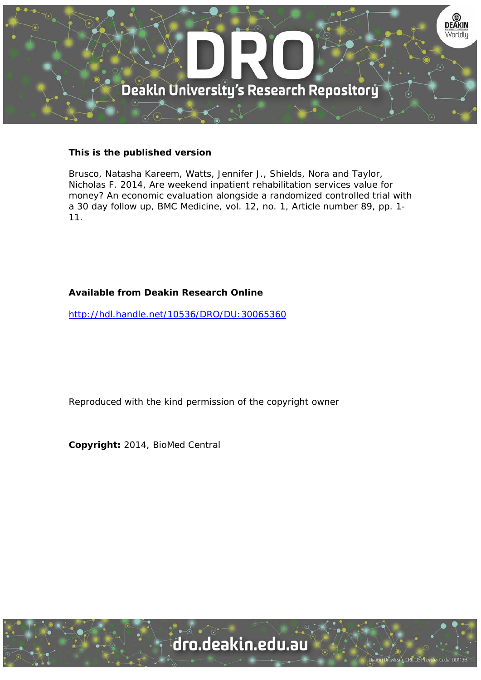

# **This is the published version**

Brusco, Natasha Kareem, Watts, Jennifer J., Shields, Nora and Taylor, Nicholas F. 2014, Are weekend inpatient rehabilitation services value for money? An economic evaluation alongside a randomized controlled trial with a 30 day follow up, BMC Medicine, vol. 12, no. 1, Article number 89, pp. 1- 11.

# **Available from Deakin Research Online**

http://hdl.handle.net/10536/DRO/DU:30065360

Reproduced with the kind permission of the copyright owner

**Copyright:** 2014, BioMed Central

University CRICOS Provider Code: 00113B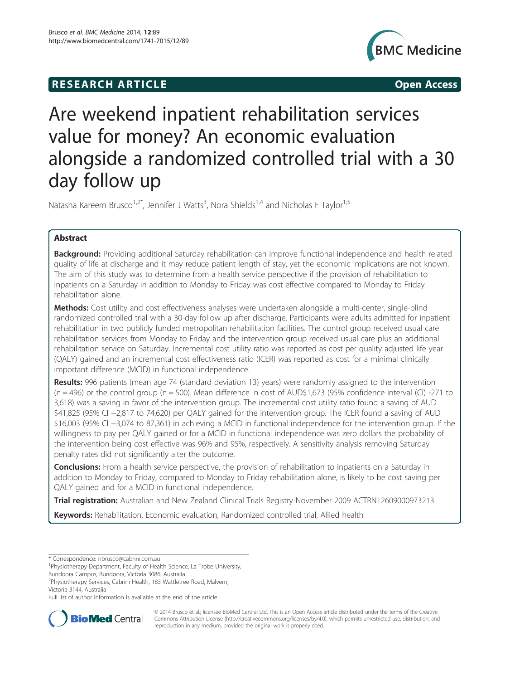# **RESEARCH ARTICLE Example 2014 The SEAR CH ACCESS**



# Are weekend inpatient rehabilitation services value for money? An economic evaluation alongside a randomized controlled trial with a 30 day follow up

Natasha Kareem Brusco<sup>1,2\*</sup>, Jennifer J Watts<sup>3</sup>, Nora Shields<sup>1,4</sup> and Nicholas F Taylor<sup>1,5</sup>

# Abstract

**Background:** Providing additional Saturday rehabilitation can improve functional independence and health related quality of life at discharge and it may reduce patient length of stay, yet the economic implications are not known. The aim of this study was to determine from a health service perspective if the provision of rehabilitation to inpatients on a Saturday in addition to Monday to Friday was cost effective compared to Monday to Friday rehabilitation alone.

Methods: Cost utility and cost effectiveness analyses were undertaken alongside a multi-center, single-blind randomized controlled trial with a 30-day follow up after discharge. Participants were adults admitted for inpatient rehabilitation in two publicly funded metropolitan rehabilitation facilities. The control group received usual care rehabilitation services from Monday to Friday and the intervention group received usual care plus an additional rehabilitation service on Saturday. Incremental cost utility ratio was reported as cost per quality adjusted life year (QALY) gained and an incremental cost effectiveness ratio (ICER) was reported as cost for a minimal clinically important difference (MCID) in functional independence.

Results: 996 patients (mean age 74 (standard deviation 13) years) were randomly assigned to the intervention  $(n = 496)$  or the control group  $(n = 500)$ . Mean difference in cost of AUD\$1,673 (95% confidence interval (CI) -271 to 3,618) was a saving in favor of the intervention group. The incremental cost utility ratio found a saving of AUD \$41,825 (95% CI −2,817 to 74,620) per QALY gained for the intervention group. The ICER found a saving of AUD \$16,003 (95% CI −3,074 to 87,361) in achieving a MCID in functional independence for the intervention group. If the willingness to pay per QALY gained or for a MCID in functional independence was zero dollars the probability of the intervention being cost effective was 96% and 95%, respectively. A sensitivity analysis removing Saturday penalty rates did not significantly alter the outcome.

**Conclusions:** From a health service perspective, the provision of rehabilitation to inpatients on a Saturday in addition to Monday to Friday, compared to Monday to Friday rehabilitation alone, is likely to be cost saving per QALY gained and for a MCID in functional independence.

Trial registration: Australian and New Zealand Clinical Trials Registry November 2009 [ACTRN12609000973213](https://www.anzctr.org.au/Trial/Registration/TrialReview.aspx?id=320811)

Keywords: Rehabilitation, Economic evaluation, Randomized controlled trial, Allied health

Bundoora Campus, Bundoora, Victoria 3086, Australia 2 Physiotherapy Services, Cabrini Health, 183 Wattletree Road, Malvern,

Full list of author information is available at the end of the article



© 2014 Brusco et al.; licensee BioMed Central Ltd. This is an Open Access article distributed under the terms of the Creative Commons Attribution License [\(http://creativecommons.org/licenses/by/4.0\)](http://creativecommons.org/licenses/by/4.0), which permits unrestricted use, distribution, and reproduction in any medium, provided the original work is properly cited.

<sup>\*</sup> Correspondence: [nbrusco@cabrini.com.au](mailto:nbrusco@cabrini.com.au) <sup>1</sup>

<sup>&</sup>lt;sup>1</sup>Physiotherapy Department, Faculty of Health Science, La Trobe University,

Victoria 3144, Australia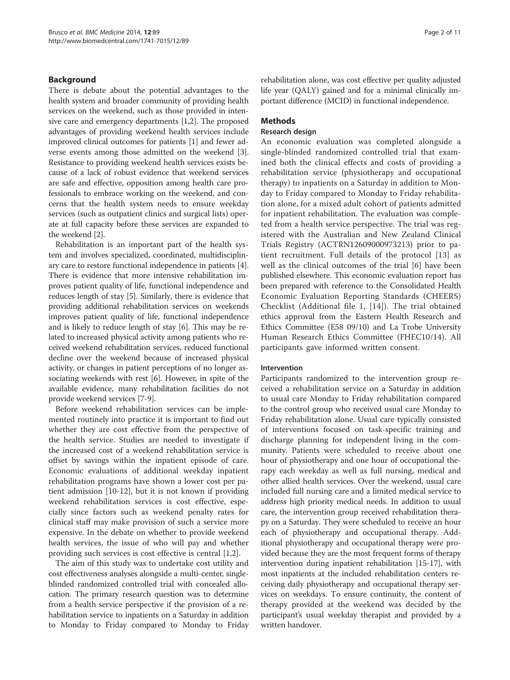# Background

There is debate about the potential advantages to the health system and broader community of providing health services on the weekend, such as those provided in intensive care and emergency departments [[1,2](#page-10-0)]. The proposed advantages of providing weekend health services include improved clinical outcomes for patients [[1](#page-10-0)] and fewer adverse events among those admitted on the weekend [[3](#page-10-0)]. Resistance to providing weekend health services exists because of a lack of robust evidence that weekend services are safe and effective, opposition among health care professionals to embrace working on the weekend, and concerns that the health system needs to ensure weekday services (such as outpatient clinics and surgical lists) operate at full capacity before these services are expanded to the weekend [[2](#page-10-0)].

Rehabilitation is an important part of the health system and involves specialized, coordinated, multidisciplinary care to restore functional independence in patients [[4](#page-10-0)]. There is evidence that more intensive rehabilitation improves patient quality of life, functional independence and reduces length of stay [[5\]](#page-10-0). Similarly, there is evidence that providing additional rehabilitation services on weekends improves patient quality of life, functional independence and is likely to reduce length of stay [[6\]](#page-10-0). This may be related to increased physical activity among patients who received weekend rehabilitation services, reduced functional decline over the weekend because of increased physical activity, or changes in patient perceptions of no longer associating weekends with rest [\[6](#page-10-0)]. However, in spite of the available evidence, many rehabilitation facilities do not provide weekend services [[7-9](#page-10-0)].

Before weekend rehabilitation services can be implemented routinely into practice it is important to find out whether they are cost effective from the perspective of the health service. Studies are needed to investigate if the increased cost of a weekend rehabilitation service is offset by savings within the inpatient episode of care. Economic evaluations of additional weekday inpatient rehabilitation programs have shown a lower cost per patient admission [\[10](#page-10-0)-[12\]](#page-11-0), but it is not known if providing weekend rehabilitation services is cost effective, especially since factors such as weekend penalty rates for clinical staff may make provision of such a service more expensive. In the debate on whether to provide weekend health services, the issue of who will pay and whether providing such services is cost effective is central [[1,2\]](#page-10-0).

The aim of this study was to undertake cost utility and cost effectiveness analyses alongside a multi-center, singleblinded randomized controlled trial with concealed allocation. The primary research question was to determine from a health service perspective if the provision of a rehabilitation service to inpatients on a Saturday in addition to Monday to Friday compared to Monday to Friday

rehabilitation alone, was cost effective per quality adjusted life year (QALY) gained and for a minimal clinically important difference (MCID) in functional independence.

# Methods

# Research design

An economic evaluation was completed alongside a single-blinded randomized controlled trial that examined both the clinical effects and costs of providing a rehabilitation service (physiotherapy and occupational therapy) to inpatients on a Saturday in addition to Monday to Friday compared to Monday to Friday rehabilitation alone, for a mixed adult cohort of patients admitted for inpatient rehabilitation. The evaluation was completed from a health service perspective. The trial was registered with the Australian and New Zealand Clinical Trials Registry (ACTRN12609000973213) prior to patient recruitment. Full details of the protocol [[13](#page-11-0)] as well as the clinical outcomes of the trial [\[6](#page-10-0)] have been published elsewhere. This economic evaluation report has been prepared with reference to the Consolidated Health Economic Evaluation Reporting Standards (CHEERS) Checklist (Additional file [1,](#page-10-0) [[14](#page-11-0)]). The trial obtained ethics approval from the Eastern Health Research and Ethics Committee (E58 09/10) and La Trobe University Human Research Ethics Committee (FHEC10/14). All participants gave informed written consent.

# Intervention

Participants randomized to the intervention group received a rehabilitation service on a Saturday in addition to usual care Monday to Friday rehabilitation compared to the control group who received usual care Monday to Friday rehabilitation alone. Usual care typically consisted of interventions focused on task-specific training and discharge planning for independent living in the community. Patients were scheduled to receive about one hour of physiotherapy and one hour of occupational therapy each weekday as well as full nursing, medical and other allied health services. Over the weekend, usual care included full nursing care and a limited medical service to address high priority medical needs. In addition to usual care, the intervention group received rehabilitation therapy on a Saturday. They were scheduled to receive an hour each of physiotherapy and occupational therapy. Additional physiotherapy and occupational therapy were provided because they are the most frequent forms of therapy intervention during inpatient rehabilitation [[15-17\]](#page-11-0), with most inpatients at the included rehabilitation centers receiving daily physiotherapy and occupational therapy services on weekdays. To ensure continuity, the content of therapy provided at the weekend was decided by the participant's usual weekday therapist and provided by a written handover.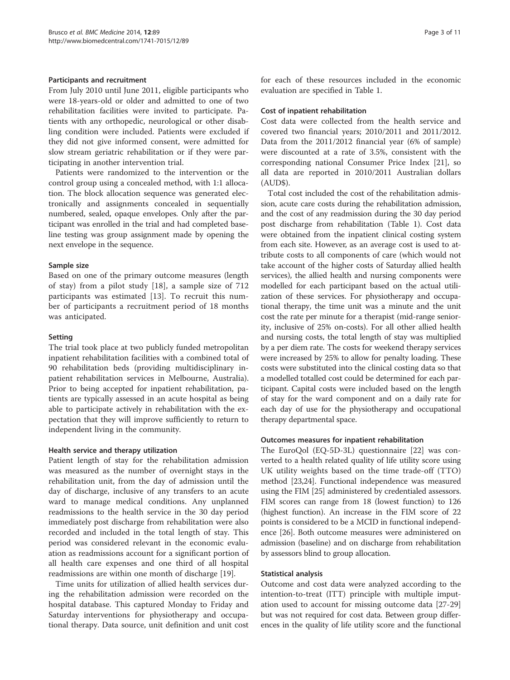#### Participants and recruitment

From July 2010 until June 2011, eligible participants who were 18-years-old or older and admitted to one of two rehabilitation facilities were invited to participate. Patients with any orthopedic, neurological or other disabling condition were included. Patients were excluded if they did not give informed consent, were admitted for slow stream geriatric rehabilitation or if they were participating in another intervention trial.

Patients were randomized to the intervention or the control group using a concealed method, with 1:1 allocation. The block allocation sequence was generated electronically and assignments concealed in sequentially numbered, sealed, opaque envelopes. Only after the participant was enrolled in the trial and had completed baseline testing was group assignment made by opening the next envelope in the sequence.

### Sample size

Based on one of the primary outcome measures (length of stay) from a pilot study [[18\]](#page-11-0), a sample size of 712 participants was estimated [[13\]](#page-11-0). To recruit this number of participants a recruitment period of 18 months was anticipated.

#### Setting

The trial took place at two publicly funded metropolitan inpatient rehabilitation facilities with a combined total of 90 rehabilitation beds (providing multidisciplinary inpatient rehabilitation services in Melbourne, Australia). Prior to being accepted for inpatient rehabilitation, patients are typically assessed in an acute hospital as being able to participate actively in rehabilitation with the expectation that they will improve sufficiently to return to independent living in the community.

#### Health service and therapy utilization

Patient length of stay for the rehabilitation admission was measured as the number of overnight stays in the rehabilitation unit, from the day of admission until the day of discharge, inclusive of any transfers to an acute ward to manage medical conditions. Any unplanned readmissions to the health service in the 30 day period immediately post discharge from rehabilitation were also recorded and included in the total length of stay. This period was considered relevant in the economic evaluation as readmissions account for a significant portion of all health care expenses and one third of all hospital readmissions are within one month of discharge [\[19](#page-11-0)].

Time units for utilization of allied health services during the rehabilitation admission were recorded on the hospital database. This captured Monday to Friday and Saturday interventions for physiotherapy and occupational therapy. Data source, unit definition and unit cost for each of these resources included in the economic evaluation are specified in Table [1](#page-4-0).

#### Cost of inpatient rehabilitation

Cost data were collected from the health service and covered two financial years; 2010/2011 and 2011/2012. Data from the 2011/2012 financial year (6% of sample) were discounted at a rate of 3.5%, consistent with the corresponding national Consumer Price Index [[21\]](#page-11-0), so all data are reported in 2010/2011 Australian dollars (AUD\$).

Total cost included the cost of the rehabilitation admission, acute care costs during the rehabilitation admission, and the cost of any readmission during the 30 day period post discharge from rehabilitation (Table [1\)](#page-4-0). Cost data were obtained from the inpatient clinical costing system from each site. However, as an average cost is used to attribute costs to all components of care (which would not take account of the higher costs of Saturday allied health services), the allied health and nursing components were modelled for each participant based on the actual utilization of these services. For physiotherapy and occupational therapy, the time unit was a minute and the unit cost the rate per minute for a therapist (mid-range seniority, inclusive of 25% on-costs). For all other allied health and nursing costs, the total length of stay was multiplied by a per diem rate. The costs for weekend therapy services were increased by 25% to allow for penalty loading. These costs were substituted into the clinical costing data so that a modelled totalled cost could be determined for each participant. Capital costs were included based on the length of stay for the ward component and on a daily rate for each day of use for the physiotherapy and occupational therapy departmental space.

## Outcomes measures for inpatient rehabilitation

The EuroQol (EQ-5D-3L) questionnaire [[22](#page-11-0)] was converted to a health related quality of life utility score using UK utility weights based on the time trade-off (TTO) method [\[23,24](#page-11-0)]. Functional independence was measured using the FIM [\[25\]](#page-11-0) administered by credentialed assessors. FIM scores can range from 18 (lowest function) to 126 (highest function). An increase in the FIM score of 22 points is considered to be a MCID in functional independence [[26](#page-11-0)]. Both outcome measures were administered on admission (baseline) and on discharge from rehabilitation by assessors blind to group allocation.

#### Statistical analysis

Outcome and cost data were analyzed according to the intention-to-treat (ITT) principle with multiple imputation used to account for missing outcome data [\[27](#page-11-0)-[29](#page-11-0)] but was not required for cost data. Between group differences in the quality of life utility score and the functional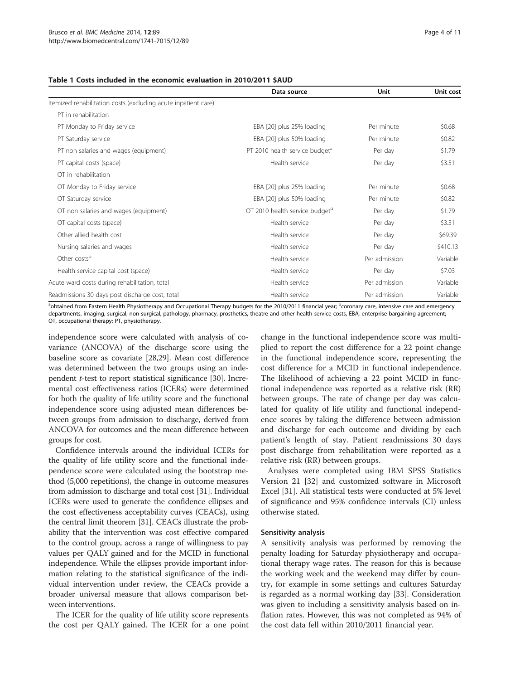<span id="page-4-0"></span>

|                                                                | Data source                                | Unit          | Unit cost |  |
|----------------------------------------------------------------|--------------------------------------------|---------------|-----------|--|
| Itemized rehabilitation costs (excluding acute inpatient care) |                                            |               |           |  |
| PT in rehabilitation                                           |                                            |               |           |  |
| PT Monday to Friday service                                    | EBA [20] plus 25% loading                  | Per minute    | \$0.68    |  |
| PT Saturday service                                            | EBA [20] plus 50% loading                  | Per minute    | \$0.82    |  |
| PT non salaries and wages (equipment)                          | PT 2010 health service budget <sup>a</sup> | Per day       | \$1.79    |  |
| PT capital costs (space)                                       | Health service                             | Per day       | \$3.51    |  |
| OT in rehabilitation                                           |                                            |               |           |  |
| OT Monday to Friday service                                    | EBA [20] plus 25% loading                  | Per minute    | \$0.68    |  |
| OT Saturday service                                            | EBA [20] plus 50% loading                  | Per minute    | \$0.82    |  |
| OT non salaries and wages (equipment)                          | OT 2010 health service budget <sup>a</sup> | Per day       | \$1.79    |  |
| OT capital costs (space)                                       | Health service                             | Per day       | \$3.51    |  |
| Other allied health cost                                       | Health service                             | Per day       | \$69.39   |  |
| Nursing salaries and wages                                     | Health service                             | Per day       | \$410.13  |  |
| Other costs <sup>b</sup>                                       | Health service                             | Per admission | Variable  |  |
| Health service capital cost (space)                            | Health service                             | Per day       | \$7.03    |  |
| Acute ward costs during rehabilitation, total                  | Health service                             | Per admission | Variable  |  |
| Readmissions 30 days post discharge cost, total                | Health service                             | Per admission | Variable  |  |

<sup>a</sup>obtained from Eastern Health Physiotherapy and Occupational Therapy budgets for the 2010/2011 financial year; <sup>b</sup>coronary care, intensive care and emergency departments, imaging, surgical, non-surgical, pathology, pharmacy, prosthetics, theatre and other health service costs, EBA, enterprise bargaining agreement; OT, occupational therapy; PT, physiotherapy.

independence score were calculated with analysis of covariance (ANCOVA) of the discharge score using the baseline score as covariate [\[28,29\]](#page-11-0). Mean cost difference was determined between the two groups using an independent t-test to report statistical significance [\[30\]](#page-11-0). Incremental cost effectiveness ratios (ICERs) were determined for both the quality of life utility score and the functional independence score using adjusted mean differences between groups from admission to discharge, derived from ANCOVA for outcomes and the mean difference between groups for cost.

Confidence intervals around the individual ICERs for the quality of life utility score and the functional independence score were calculated using the bootstrap method (5,000 repetitions), the change in outcome measures from admission to discharge and total cost [[31\]](#page-11-0). Individual ICERs were used to generate the confidence ellipses and the cost effectiveness acceptability curves (CEACs), using the central limit theorem [[31](#page-11-0)]. CEACs illustrate the probability that the intervention was cost effective compared to the control group, across a range of willingness to pay values per QALY gained and for the MCID in functional independence. While the ellipses provide important information relating to the statistical significance of the individual intervention under review, the CEACs provide a broader universal measure that allows comparison between interventions.

The ICER for the quality of life utility score represents the cost per QALY gained. The ICER for a one point

change in the functional independence score was multiplied to report the cost difference for a 22 point change in the functional independence score, representing the cost difference for a MCID in functional independence. The likelihood of achieving a 22 point MCID in functional independence was reported as a relative risk (RR) between groups. The rate of change per day was calculated for quality of life utility and functional independence scores by taking the difference between admission and discharge for each outcome and dividing by each patient's length of stay. Patient readmissions 30 days post discharge from rehabilitation were reported as a relative risk (RR) between groups.

Analyses were completed using IBM SPSS Statistics Version 21 [[32\]](#page-11-0) and customized software in Microsoft Excel [\[31](#page-11-0)]. All statistical tests were conducted at 5% level of significance and 95% confidence intervals (CI) unless otherwise stated.

#### Sensitivity analysis

A sensitivity analysis was performed by removing the penalty loading for Saturday physiotherapy and occupational therapy wage rates. The reason for this is because the working week and the weekend may differ by country, for example in some settings and cultures Saturday is regarded as a normal working day [[33](#page-11-0)]. Consideration was given to including a sensitivity analysis based on inflation rates. However, this was not completed as 94% of the cost data fell within 2010/2011 financial year.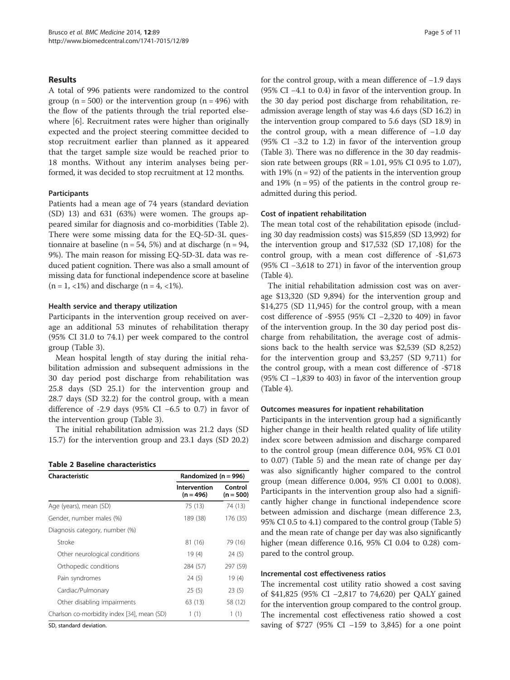# Results

A total of 996 patients were randomized to the control group ( $n = 500$ ) or the intervention group ( $n = 496$ ) with the flow of the patients through the trial reported elsewhere [[6\]](#page-10-0). Recruitment rates were higher than originally expected and the project steering committee decided to stop recruitment earlier than planned as it appeared that the target sample size would be reached prior to 18 months. Without any interim analyses being performed, it was decided to stop recruitment at 12 months.

# Participants

Patients had a mean age of 74 years (standard deviation (SD) 13) and 631 (63%) were women. The groups appeared similar for diagnosis and co-morbidities (Table 2). There were some missing data for the EQ-5D-3L questionnaire at baseline ( $n = 54$ , 5%) and at discharge ( $n = 94$ , 9%). The main reason for missing EQ-5D-3L data was reduced patient cognition. There was also a small amount of missing data for functional independence score at baseline  $(n = 1, \langle 1\% \rangle)$  and discharge  $(n = 4, \langle 1\% \rangle)$ .

# Health service and therapy utilization

Participants in the intervention group received on average an additional 53 minutes of rehabilitation therapy (95% CI 31.0 to 74.1) per week compared to the control group (Table [3\)](#page-6-0).

Mean hospital length of stay during the initial rehabilitation admission and subsequent admissions in the 30 day period post discharge from rehabilitation was 25.8 days (SD 25.1) for the intervention group and 28.7 days (SD 32.2) for the control group, with a mean difference of -2.9 days (95% CI −6.5 to 0.7) in favor of the intervention group (Table [3\)](#page-6-0).

The initial rehabilitation admission was 21.2 days (SD 15.7) for the intervention group and 23.1 days (SD 20.2)

#### Table 2 Baseline characteristics

| Characteristic                              | Randomized (n = 996)        |                        |  |  |
|---------------------------------------------|-----------------------------|------------------------|--|--|
|                                             | Intervention<br>$(n = 496)$ | Control<br>$(n = 500)$ |  |  |
| Age (years), mean (SD)                      | 75 (13)                     | 74 (13)                |  |  |
| Gender, number males (%)                    | 189 (38)                    | 176 (35)               |  |  |
| Diagnosis category, number (%)              |                             |                        |  |  |
| Stroke                                      | 81 (16)                     | 79 (16)                |  |  |
| Other neurological conditions               | 19(4)                       | 24(5)                  |  |  |
| Orthopedic conditions                       | 284 (57)                    | 297 (59)               |  |  |
| Pain syndromes                              | 24(5)                       | 19(4)                  |  |  |
| Cardiac/Pulmonary                           | 25(5)                       | 23(5)                  |  |  |
| Other disabling impairments                 | 63 (13)                     | 58 (12)                |  |  |
| Charlson co-morbidity index [34], mean (SD) | 1(1)                        | 1(1)                   |  |  |

SD, standard deviation.

for the control group, with a mean difference of −1.9 days (95% CI −4.1 to 0.4) in favor of the intervention group. In the 30 day period post discharge from rehabilitation, readmission average length of stay was 4.6 days (SD 16.2) in the intervention group compared to 5.6 days (SD 18.9) in the control group, with a mean difference of −1.0 day (95% CI −3.2 to 1.2) in favor of the intervention group (Table [3\)](#page-6-0). There was no difference in the 30 day readmission rate between groups ( $RR = 1.01$ , 95% CI 0.95 to 1.07), with  $19\%$  (n = 92) of the patients in the intervention group and 19%  $(n = 95)$  of the patients in the control group readmitted during this period.

#### Cost of inpatient rehabilitation

The mean total cost of the rehabilitation episode (including 30 day readmission costs) was \$15,859 (SD 13,992) for the intervention group and \$17,532 (SD 17,108) for the control group, with a mean cost difference of -\$1,673 (95% CI −3,618 to 271) in favor of the intervention group (Table [4](#page-7-0)).

The initial rehabilitation admission cost was on average \$13,320 (SD 9,894) for the intervention group and \$14,275 (SD 11,945) for the control group, with a mean cost difference of -\$955 (95% CI −2,320 to 409) in favor of the intervention group. In the 30 day period post discharge from rehabilitation, the average cost of admissions back to the health service was \$2,539 (SD 8,252) for the intervention group and \$3,257 (SD 9,711) for the control group, with a mean cost difference of -\$718 (95% CI −1,839 to 403) in favor of the intervention group (Table [4](#page-7-0)).

#### Outcomes measures for inpatient rehabilitation

Participants in the intervention group had a significantly higher change in their health related quality of life utility index score between admission and discharge compared to the control group (mean difference 0.04, 95% CI 0.01 to 0.07) (Table [5\)](#page-7-0) and the mean rate of change per day was also significantly higher compared to the control group (mean difference 0.004, 95% CI 0.001 to 0.008). Participants in the intervention group also had a significantly higher change in functional independence score between admission and discharge (mean difference 2.3, 95% CI 0.5 to 4.1) compared to the control group (Table [5](#page-7-0)) and the mean rate of change per day was also significantly higher (mean difference 0.16, 95% CI 0.04 to 0.28) compared to the control group.

# Incremental cost effectiveness ratios

The incremental cost utility ratio showed a cost saving of \$41,825 (95% CI −2,817 to 74,620) per QALY gained for the intervention group compared to the control group. The incremental cost effectiveness ratio showed a cost saving of \$727 (95% CI −159 to 3,845) for a one point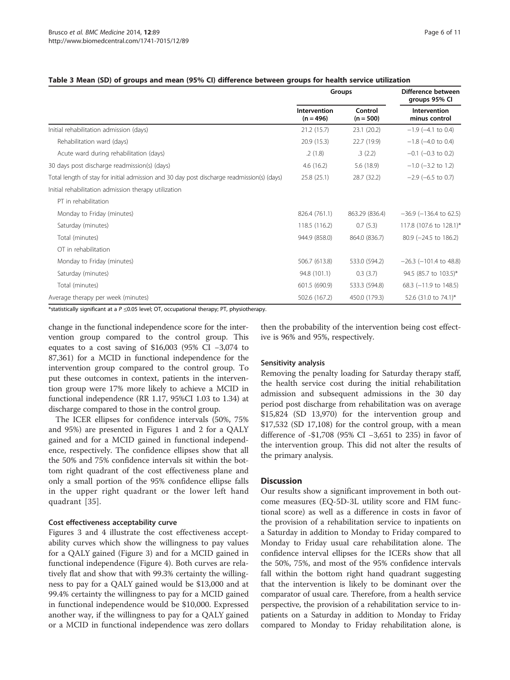<span id="page-6-0"></span>

|  |  |  |  | Table 3 Mean (SD) of groups and mean (95% CI) difference between groups for health service utilization |
|--|--|--|--|--------------------------------------------------------------------------------------------------------|
|--|--|--|--|--------------------------------------------------------------------------------------------------------|

|                                                                                            | Groups                      |                        | Difference between<br>groups 95% Cl |  |
|--------------------------------------------------------------------------------------------|-----------------------------|------------------------|-------------------------------------|--|
|                                                                                            | Intervention<br>$(n = 496)$ | Control<br>$(n = 500)$ | Intervention<br>minus control       |  |
| Initial rehabilitation admission (days)                                                    | 21.2(15.7)                  | 23.1(20.2)             | $-1.9$ (-4.1 to 0.4)                |  |
| Rehabilitation ward (days)                                                                 | 20.9 (15.3)                 | 22.7 (19.9)            | $-1.8$ ( $-4.0$ to 0.4)             |  |
| Acute ward during rehabilitation (days)                                                    | .2(1.8)                     | .3(2.2)                | $-0.1$ ( $-0.3$ to 0.2)             |  |
| 30 days post discharge readmission(s) (days)                                               | 4.6(16.2)                   | 5.6(18.9)              | $-1.0$ ( $-3.2$ to 1.2)             |  |
| Total length of stay for initial admission and 30 day post discharge readmission(s) (days) | 25.8 (25.1)                 | 28.7 (32.2)            | $-2.9$ (-6.5 to 0.7)                |  |
| Initial rehabilitation admission therapy utilization                                       |                             |                        |                                     |  |
| PT in rehabilitation                                                                       |                             |                        |                                     |  |
| Monday to Friday (minutes)                                                                 | 826.4 (761.1)               | 863.29 (836.4)         | $-36.9$ ( $-136.4$ to 62.5)         |  |
| Saturday (minutes)                                                                         | 118.5 (116.2)               | 0.7(5.3)               | 117.8 (107.6 to 128.1)*             |  |
| Total (minutes)                                                                            | 944.9 (858.0)               | 864.0 (836.7)          | 80.9 (-24.5 to 186.2)               |  |
| OT in rehabilitation                                                                       |                             |                        |                                     |  |
| Monday to Friday (minutes)                                                                 | 506.7 (613.8)               | 533.0 (594.2)          | $-26.3$ ( $-101.4$ to 48.8)         |  |
| Saturday (minutes)                                                                         | 94.8 (101.1)                | 0.3(3.7)               | 94.5 (85.7 to 103.5)*               |  |
| Total (minutes)                                                                            | 601.5 (690.9)               | 533.3 (594.8)          | 68.3 (-11.9 to 148.5)               |  |
| Average therapy per week (minutes)                                                         | 502.6 (167.2)               | 450.0 (179.3)          | 52.6 (31.0 to 74.1)*                |  |

\*statistically significant at a  $P \le 0.05$  level; OT, occupational therapy; PT, physiotherapy.

change in the functional independence score for the intervention group compared to the control group. This equates to a cost saving of \$16,003 (95% CI −3,074 to 87,361) for a MCID in functional independence for the intervention group compared to the control group. To put these outcomes in context, patients in the intervention group were 17% more likely to achieve a MCID in functional independence (RR 1.17, 95%CI 1.03 to 1.34) at discharge compared to those in the control group.

The ICER ellipses for confidence intervals (50%, 75% and 95%) are presented in Figures [1](#page-8-0) and [2](#page-8-0) for a QALY gained and for a MCID gained in functional independence, respectively. The confidence ellipses show that all the 50% and 75% confidence intervals sit within the bottom right quadrant of the cost effectiveness plane and only a small portion of the 95% confidence ellipse falls in the upper right quadrant or the lower left hand quadrant [\[35\]](#page-11-0).

#### Cost effectiveness acceptability curve

Figures [3](#page-9-0) and [4](#page-9-0) illustrate the cost effectiveness acceptability curves which show the willingness to pay values for a QALY gained (Figure [3](#page-9-0)) and for a MCID gained in functional independence (Figure [4\)](#page-9-0). Both curves are relatively flat and show that with 99.3% certainty the willingness to pay for a QALY gained would be \$13,000 and at 99.4% certainty the willingness to pay for a MCID gained in functional independence would be \$10,000. Expressed another way, if the willingness to pay for a QALY gained or a MCID in functional independence was zero dollars

then the probability of the intervention being cost effective is 96% and 95%, respectively.

#### Sensitivity analysis

Removing the penalty loading for Saturday therapy staff, the health service cost during the initial rehabilitation admission and subsequent admissions in the 30 day period post discharge from rehabilitation was on average \$15,824 (SD 13,970) for the intervention group and \$17,532 (SD 17,108) for the control group, with a mean difference of -\$1,708 (95% CI −3,651 to 235) in favor of the intervention group. This did not alter the results of the primary analysis.

# **Discussion**

Our results show a significant improvement in both outcome measures (EQ-5D-3L utility score and FIM functional score) as well as a difference in costs in favor of the provision of a rehabilitation service to inpatients on a Saturday in addition to Monday to Friday compared to Monday to Friday usual care rehabilitation alone. The confidence interval ellipses for the ICERs show that all the 50%, 75%, and most of the 95% confidence intervals fall within the bottom right hand quadrant suggesting that the intervention is likely to be dominant over the comparator of usual care. Therefore, from a health service perspective, the provision of a rehabilitation service to inpatients on a Saturday in addition to Monday to Friday compared to Monday to Friday rehabilitation alone, is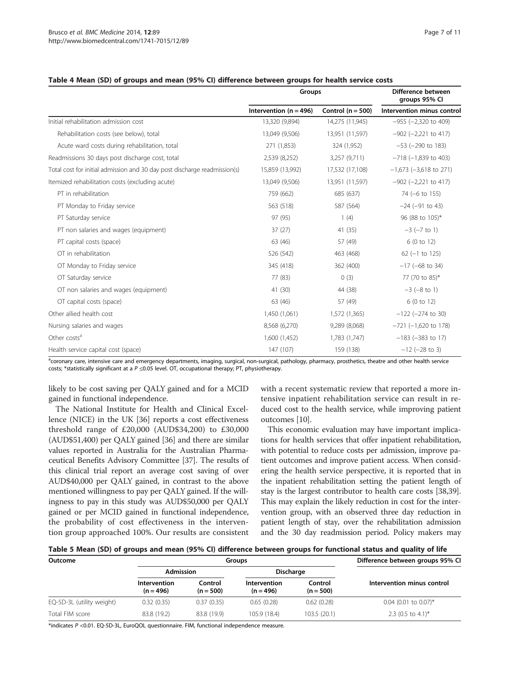<span id="page-7-0"></span>

|  |  |  | Table 4 Mean (SD) of groups and mean (95% CI) difference between groups for health service costs |
|--|--|--|--------------------------------------------------------------------------------------------------|
|--|--|--|--------------------------------------------------------------------------------------------------|

|                                                                           | Groups                     |                       | Difference between<br>groups 95% CI |  |
|---------------------------------------------------------------------------|----------------------------|-----------------------|-------------------------------------|--|
|                                                                           | Intervention ( $n = 496$ ) | Control ( $n = 500$ ) | Intervention minus control          |  |
| Initial rehabilitation admission cost                                     | 13,320 (9,894)             | 14,275 (11,945)       | $-955$ ( $-2,320$ to 409)           |  |
| Rehabilitation costs (see below), total                                   | 13,049 (9,506)             | 13,951 (11,597)       | $-902$ ( $-2,221$ to 417)           |  |
| Acute ward costs during rehabilitation, total                             | 271 (1,853)                | 324 (1,952)           | $-53$ ( $-290$ to 183)              |  |
| Readmissions 30 days post discharge cost, total                           | 2,539 (8,252)              | 3,257 (9,711)         | $-718$ (-1,839 to 403)              |  |
| Total cost for initial admission and 30 day post discharge readmission(s) | 15,859 (13,992)            | 17,532 (17,108)       | $-1,673$ ( $-3,618$ to 271)         |  |
| Itemized rehabilitation costs (excluding acute)                           | 13,049 (9,506)             | 13,951 (11,597)       | $-902$ ( $-2,221$ to 417)           |  |
| PT in rehabilitation                                                      | 759 (662)                  | 685 (637)             | 74 (-6 to 155)                      |  |
| PT Monday to Friday service                                               | 563 (518)                  | 587 (564)             | $-24$ ( $-91$ to 43)                |  |
| PT Saturday service                                                       | 97 (95)                    | 1(4)                  | 96 (88 to 105)*                     |  |
| PT non salaries and wages (equipment)                                     | 37(27)                     | 41 (35)               | $-3$ ( $-7$ to 1)                   |  |
| PT capital costs (space)                                                  | 63 (46)                    | 57 (49)               | 6 (0 to 12)                         |  |
| OT in rehabilitation                                                      | 526 (542)                  | 463 (468)             | $62$ (-1 to 125)                    |  |
| OT Monday to Friday service                                               | 345 (418)                  | 362 (400)             | $-17$ (-68 to 34)                   |  |
| OT Saturday service                                                       | 77 (83)                    | 0(3)                  | 77 (70 to 85)*                      |  |
| OT non salaries and wages (equipment)                                     | 41 (30)                    | 44 (38)               | $-3$ ( $-8$ to 1)                   |  |
| OT capital costs (space)                                                  | 63 (46)                    | 57 (49)               | 6 (0 to 12)                         |  |
| Other allied health cost                                                  | 1,450 (1,061)              | 1,572 (1,365)         | $-122$ ( $-274$ to 30)              |  |
| Nursing salaries and wages                                                | 8,568 (6,270)              | 9,289 (8,068)         | $-721$ (-1,620 to 178)              |  |
| Other costs <sup>a</sup>                                                  | 1,600 (1,452)              | 1,783 (1,747)         | $-183$ ( $-383$ to 17)              |  |
| Health service capital cost (space)                                       | 147 (107)                  | 159 (138)             | $-12$ ( $-28$ to 3)                 |  |

a<br>The partical, partical, and emergency departments, imaging, surgical, non-surgical, pathology, pharmacy, prosthetics, theatre and other health service costs; \*statistically significant at a  $P \le 0.05$  level. OT, occupational therapy; PT, physiotherapy.

likely to be cost saving per QALY gained and for a MCID gained in functional independence.

The National Institute for Health and Clinical Excellence (NICE) in the UK [\[36](#page-11-0)] reports a cost effectiveness threshold range of £20,000 (AUD\$34,200) to £30,000 (AUD\$51,400) per QALY gained [\[36\]](#page-11-0) and there are similar values reported in Australia for the Australian Pharmaceutical Benefits Advisory Committee [[37](#page-11-0)]. The results of this clinical trial report an average cost saving of over AUD\$40,000 per QALY gained, in contrast to the above mentioned willingness to pay per QALY gained. If the willingness to pay in this study was AUD\$50,000 per QALY gained or per MCID gained in functional independence, the probability of cost effectiveness in the intervention group approached 100%. Our results are consistent

with a recent systematic review that reported a more intensive inpatient rehabilitation service can result in reduced cost to the health service, while improving patient outcomes [\[10\]](#page-10-0).

This economic evaluation may have important implications for health services that offer inpatient rehabilitation, with potential to reduce costs per admission, improve patient outcomes and improve patient access. When considering the health service perspective, it is reported that in the inpatient rehabilitation setting the patient length of stay is the largest contributor to health care costs [\[38,39](#page-11-0)]. This may explain the likely reduction in cost for the intervention group, with an observed three day reduction in patient length of stay, over the rehabilitation admission and the 30 day readmission period. Policy makers may

Table 5 Mean (SD) of groups and mean (95% CI) difference between groups for functional status and quality of life

| Outcome                   |                             | <b>Groups</b>          | Difference between groups 95% CI |                        |                            |
|---------------------------|-----------------------------|------------------------|----------------------------------|------------------------|----------------------------|
|                           | <b>Admission</b>            |                        | <b>Discharge</b>                 |                        |                            |
|                           | Intervention<br>$(n = 496)$ | Control<br>$(n = 500)$ | Intervention<br>$(n = 496)$      | Control<br>$(n = 500)$ | Intervention minus control |
| EQ-5D-3L (utility weight) | 0.32(0.35)                  | 0.37(0.35)             | 0.65(0.28)                       | 0.62(0.28)             | $0.04$ (0.01 to 0.07)*     |
| Total FIM score           | 83.8 (19.2)                 | 83.8 (19.9)            | 105.9 (18.4)                     | 103.5(20.1)            | 2.3 (0.5 to 4.1)*          |

 $*$ indicates  $P < 0.01$ . EQ-5D-3L, EuroQOL questionnaire. FIM, functional independence measure.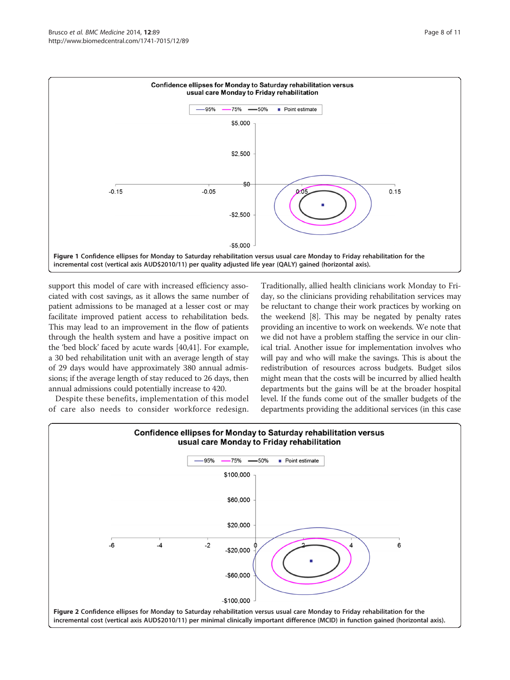<span id="page-8-0"></span>

support this model of care with increased efficiency associated with cost savings, as it allows the same number of patient admissions to be managed at a lesser cost or may facilitate improved patient access to rehabilitation beds. This may lead to an improvement in the flow of patients through the health system and have a positive impact on the 'bed block' faced by acute wards [[40,41](#page-11-0)]. For example, a 30 bed rehabilitation unit with an average length of stay of 29 days would have approximately 380 annual admissions; if the average length of stay reduced to 26 days, then annual admissions could potentially increase to 420.

Despite these benefits, implementation of this model of care also needs to consider workforce redesign.

Traditionally, allied health clinicians work Monday to Friday, so the clinicians providing rehabilitation services may be reluctant to change their work practices by working on the weekend [\[8](#page-10-0)]. This may be negated by penalty rates providing an incentive to work on weekends. We note that we did not have a problem staffing the service in our clinical trial. Another issue for implementation involves who will pay and who will make the savings. This is about the redistribution of resources across budgets. Budget silos might mean that the costs will be incurred by allied health departments but the gains will be at the broader hospital level. If the funds come out of the smaller budgets of the departments providing the additional services (in this case

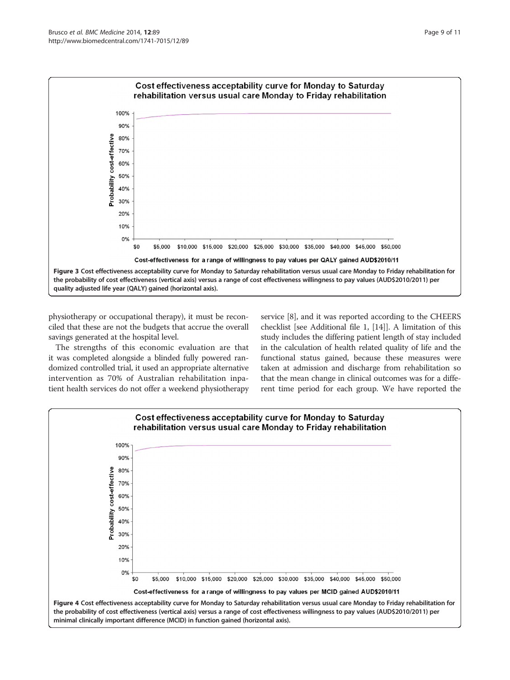<span id="page-9-0"></span>

physiotherapy or occupational therapy), it must be reconciled that these are not the budgets that accrue the overall savings generated at the hospital level.

The strengths of this economic evaluation are that it was completed alongside a blinded fully powered randomized controlled trial, it used an appropriate alternative intervention as 70% of Australian rehabilitation inpatient health services do not offer a weekend physiotherapy

service [\[8](#page-10-0)], and it was reported according to the CHEERS checklist [see Additional file [1](#page-10-0), [[14](#page-11-0)]]. A limitation of this study includes the differing patient length of stay included in the calculation of health related quality of life and the functional status gained, because these measures were taken at admission and discharge from rehabilitation so that the mean change in clinical outcomes was for a different time period for each group. We have reported the

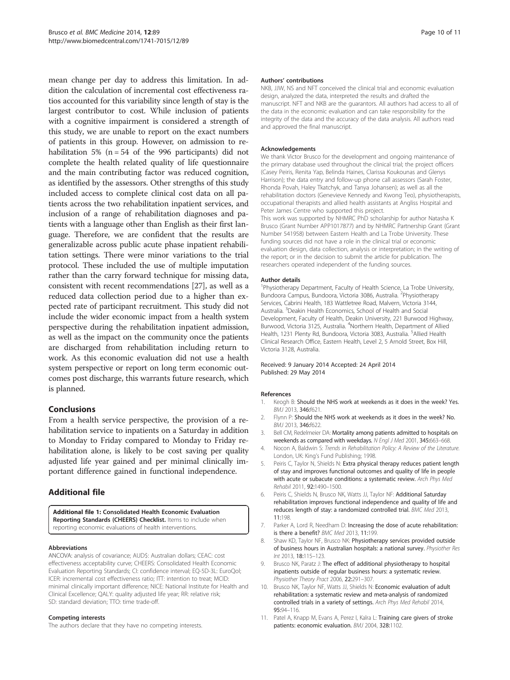<span id="page-10-0"></span>mean change per day to address this limitation. In addition the calculation of incremental cost effectiveness ratios accounted for this variability since length of stay is the largest contributor to cost. While inclusion of patients with a cognitive impairment is considered a strength of this study, we are unable to report on the exact numbers of patients in this group. However, on admission to rehabilitation 5% (n = 54 of the 996 participants) did not complete the health related quality of life questionnaire and the main contributing factor was reduced cognition, as identified by the assessors. Other strengths of this study included access to complete clinical cost data on all patients across the two rehabilitation inpatient services, and inclusion of a range of rehabilitation diagnoses and patients with a language other than English as their first language. Therefore, we are confident that the results are generalizable across public acute phase inpatient rehabilitation settings. There were minor variations to the trial protocol. These included the use of multiple imputation rather than the carry forward technique for missing data, consistent with recent recommendations [\[27\]](#page-11-0), as well as a reduced data collection period due to a higher than expected rate of participant recruitment. This study did not include the wider economic impact from a health system perspective during the rehabilitation inpatient admission, as well as the impact on the community once the patients are discharged from rehabilitation including return to work. As this economic evaluation did not use a health system perspective or report on long term economic outcomes post discharge, this warrants future research, which is planned.

# Conclusions

From a health service perspective, the provision of a rehabilitation service to inpatients on a Saturday in addition to Monday to Friday compared to Monday to Friday rehabilitation alone, is likely to be cost saving per quality adjusted life year gained and per minimal clinically important difference gained in functional independence.

# Additional file

[Additional file 1:](http://www.biomedcentral.com/content/supplementary/1741-7015-12-89-S1.doc) Consolidated Health Economic Evaluation Reporting Standards (CHEERS) Checklist. Items to include when reporting economic evaluations of health interventions.

#### Abbreviations

ANCOVA: analysis of covariance; AUD\$: Australian dollars; CEAC: cost effectiveness acceptability curve; CHEERS: Consolidated Health Economic Evaluation Reporting Standards; CI: confidence interval; EQ-5D-3L: EuroQol; ICER: incremental cost effectiveness ratio; ITT: intention to treat; MCID: minimal clinically important difference; NICE: National Institute for Health and Clinical Excellence; QALY: quality adjusted life year; RR: relative risk; SD: standard deviation; TTO: time trade-off.

#### Competing interests

The authors declare that they have no competing interests.

#### Authors' contributions

NKB, JJW, NS and NFT conceived the clinical trial and economic evaluation design, analyzed the data, interpreted the results and drafted the manuscript. NFT and NKB are the guarantors. All authors had access to all of the data in the economic evaluation and can take responsibility for the integrity of the data and the accuracy of the data analysis. All authors read and approved the final manuscript.

#### Acknowledgements

We thank Victor Brusco for the development and ongoing maintenance of the primary database used throughout the clinical trial; the project officers (Casey Peiris, Renita Yap, Belinda Haines, Clarissa Koukounas and Glenys Harrison); the data entry and follow-up phone call assessors (Sarah Foster, Rhonda Povah, Haley Tkatchyk, and Tanya Johansen); as well as all the rehabilitation doctors (Genevieve Kennedy and Kwong Teo), physiotherapists, occupational therapists and allied health assistants at Angliss Hospital and Peter James Centre who supported this project.

This work was supported by NHMRC PhD scholarship for author Natasha K Brusco (Grant Number APP1017877) and by NHMRC Partnership Grant (Grant Number 541958) between Eastern Health and La Trobe University. These funding sources did not have a role in the clinical trial or economic evaluation design, data collection, analysis or interpretation; in the writing of the report; or in the decision to submit the article for publication. The researchers operated independent of the funding sources.

#### Author details

<sup>1</sup> Physiotherapy Department, Faculty of Health Science, La Trobe University, Bundoora Campus, Bundoora, Victoria 3086, Australia. <sup>2</sup>Physiotherapy Services, Cabrini Health, 183 Wattletree Road, Malvern, Victoria 3144, Australia. <sup>3</sup>Deakin Health Economics, School of Health and Social Development, Faculty of Health, Deakin University, 221 Burwood Highway, Burwood, Victoria 3125, Australia. <sup>4</sup>Northern Health, Department of Allied Health, 1231 Plenty Rd, Bundoora, Victoria 3083, Australia. <sup>5</sup>Allied Health Clinical Research Office, Eastern Health, Level 2, 5 Arnold Street, Box Hill, Victoria 3128, Australia.

#### Received: 9 January 2014 Accepted: 24 April 2014 Published: 29 May 2014

#### References

- 1. Keogh B: Should the NHS work at weekends as it does in the week? Yes. BMJ 2013, 346:f621.
- 2. Flynn P: Should the NHS work at weekends as it does in the week? No. BMJ 2013, 346:f622.
- 3. Bell CM, Redelmeier DA: Mortality among patients admitted to hospitals on weekends as compared with weekdays. N Engl J Med 2001, 345:663–668.
- 4. Nocon A, Baldwin S: Trends in Rehabilitation Policy: A Review of the Literature. London, UK: King's Fund Publishing; 1998.
- 5. Peiris C, Taylor N, Shields N: Extra physical therapy reduces patient length of stay and improves functional outcomes and quality of life in people with acute or subacute conditions: a systematic review. Arch Phys Med Rehabil 2011, 92:1490–1500.
- 6. Peiris C, Shields N, Brusco NK, Watts JJ, Taylor NF: Additional Saturday rehabilitation improves functional independence and quality of life and reduces length of stay: a randomized controlled trial. BMC Med 2013, 11:198.
- 7. Parker A, Lord R, Needham D: Increasing the dose of acute rehabilitation: is there a benefit? BMC Med 2013, 11:199.
- 8. Shaw KD, Taylor NF, Brusco NK: Physiotherapy services provided outside of business hours in Australian hospitals: a national survey. Physiother Res Int 2013, 18:115–123.
- 9. Brusco NK, Paratz J: The effect of additional physiotherapy to hospital inpatients outside of regular business hours: a systematic review. Physiother Theory Pract 2006, 22:291-307.
- 10. Brusco NK, Taylor NF, Watts JJ, Shields N: Economic evaluation of adult rehabilitation: a systematic review and meta-analysis of randomized controlled trials in a variety of settings. Arch Phys Med Rehabil 2014, 95:94–116.
- 11. Patel A, Knapp M, Evans A, Perez I, Kalra L: Training care givers of stroke patients: economic evaluation. BMJ 2004, 328:1102.